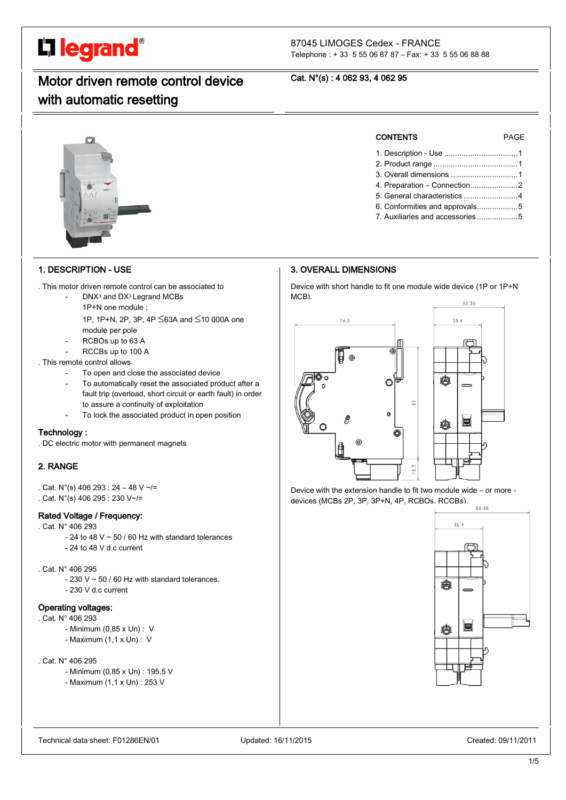# L'1 legrand<sup>®</sup>

#### 87045 LIMOGES Cedex - FRANCE Telephone : + 33 5 55 06 87 87 – Fax: + 33 5 55 06 88 88

# Motor driven remote control device with automatic resetting

# Cat. N°(s) : 4 062 93, 4 062 95

# 1. DESCRIPTION - USE

- . This motor driven remote control can be associated to
	- DNX<sup>3</sup> and DX<sup>3</sup> Legrand MCBs
		- 1P+N one module ;
		- 1P, 1P+N, 2P, 3P, 4P  $\leq$ 63A and  $\leq$ 10 000A one
	- module per pole
		- RCBOs up to 63 A
	- RCCBs up to 100 A
- . This remote control allows
	- To open and close the associated device
	- To automatically reset the associated product after a fault trip (overload, short circuit or earth fault) in order to assure a continuity of exploitation
	- To lock the associated product in open position

# Technology :

. DC electric motor with permanent magnets

# 2. RANGE

. Cat.  $N^{\circ}(s)$  406 293 : 24 - 48 V ~/= . Cat. N°(s) 406 295 : 230 V~/=

# Rated Voltage / Frequency:

- . Cat. N° 406 293
	- $24$  to 48 V  $\sim$  50 / 60 Hz with standard tolerances - 24 to 48 V d.c current
- . Cat. N° 406 295
	- $-230$  V  $\sim$  50 / 60 Hz with standard tolerances.
	- 230 V d.c current

# Operating voltages:

- . Cat. N° 406 293
	- Minimum (0,85 x Un) : V
	- Maximum (1,1 x Un) : V
- . Cat. N° 406 295
	- Minimum (0,85 x Un) : 195,5 V
	- Maximum (1,1 x Un) : 253 V

# CONTENTS PAGE

- 1. Description Use ..................................1
- 2. Product range .......................................1
- 3. Overall dimensions ...............................1
- 4. Preparation Connection......................2 5. General characteristics .........................4
- 6. Conformities and approvals...................5
- 7. Auxiliaries and accessories...................5

# 3. OVERALL DIMENSIONS

Device with short handle to fit one module wide device (1P or 1P+N MCB).



Device with the extension handle to fit two module wide – or more devices (MCBs 2P, 3P, 3P+N, 4P, RCBOs. RCCBs).

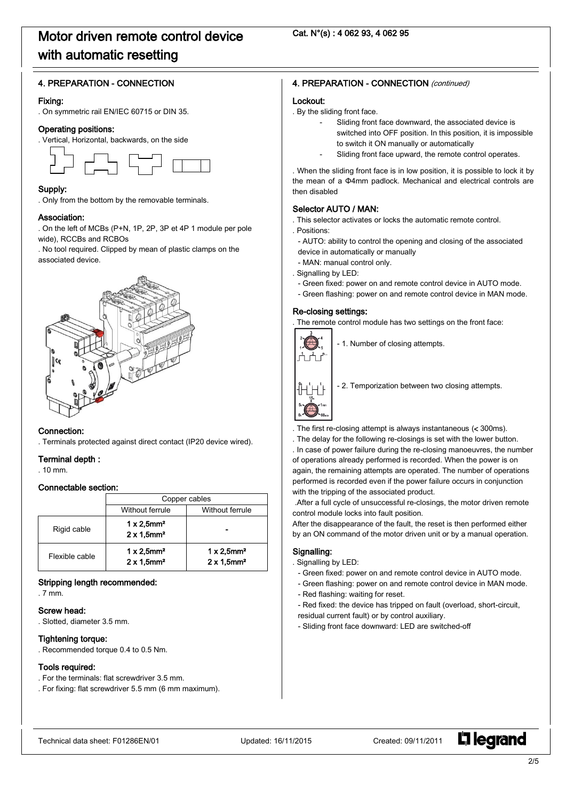### 4. PREPARATION - CONNECTION

#### Fixing:

. On symmetric rail EN/IEC 60715 or DIN 35.

#### Operating positions:

. Vertical, Horizontal, backwards, on the side



#### Supply:

. Only from the bottom by the removable terminals.

#### Association:

. On the left of MCBs (P+N, 1P, 2P, 3P et 4P 1 module per pole wide), RCCBs and RCBOs

. No tool required. Clipped by mean of plastic clamps on the associated device.



#### Connection:

. Terminals protected against direct contact (IP20 device wired).

#### Terminal depth :

. 10 mm.

#### Connectable section:

|                | Copper cables                                                    |                                                                  |  |
|----------------|------------------------------------------------------------------|------------------------------------------------------------------|--|
|                | Without ferrule                                                  | Without ferrule                                                  |  |
| Rigid cable    | $1 \times 2,5$ mm <sup>2</sup><br>$2 \times 1,5$ mm <sup>2</sup> |                                                                  |  |
| Flexible cable | $1 \times 2,5$ mm <sup>2</sup><br>$2 \times 1.5$ mm <sup>2</sup> | $1 \times 2,5$ mm <sup>2</sup><br>$2 \times 1,5$ mm <sup>2</sup> |  |

#### Stripping length recommended:

. 7 mm.

# Screw head:

. Slotted, diameter 3.5 mm.

# Tightening torque:

. Recommended torque 0.4 to 0.5 Nm.

### Tools required:

- . For the terminals: flat screwdriver 3.5 mm.
- . For fixing: flat screwdriver 5.5 mm (6 mm maximum).

# 4. PREPARATION - CONNECTION (continued)

#### Lockout:

. By the sliding front face.

- Sliding front face downward, the associated device is switched into OFF position. In this position, it is impossible to switch it ON manually or automatically
- Sliding front face upward, the remote control operates.

. When the sliding front face is in low position, it is possible to lock it by the mean of a Φ4mm padlock. Mechanical and electrical controls are then disabled

# Selector AUTO / MAN:

- . This selector activates or locks the automatic remote control.
- . Positions:
- AUTO: ability to control the opening and closing of the associated device in automatically or manually
- MAN: manual control only.
- . Signalling by LED:
	- Green fixed: power on and remote control device in AUTO mode.
- Green flashing: power on and remote control device in MAN mode.

#### Re-closing settings:

. The remote control module has two settings on the front face:



- 1. Number of closing attempts.



- 2. Temporization between two closing attempts.

- The first re-closing attempt is always instantaneous (< 300ms).
- . The delay for the following re-closings is set with the lower button.

. In case of power failure during the re-closing manoeuvres, the number of operations already performed is recorded. When the power is on again, the remaining attempts are operated. The number of operations performed is recorded even if the power failure occurs in conjunction with the tripping of the associated product.

.After a full cycle of unsuccessful re-closings, the motor driven remote control module locks into fault position.

After the disappearance of the fault, the reset is then performed either by an ON command of the motor driven unit or by a manual operation.

#### Signalling:

- . Signalling by LED:
	- Green fixed: power on and remote control device in AUTO mode.
	- Green flashing: power on and remote control device in MAN mode.
	- Red flashing: waiting for reset.
	- Red fixed: the device has tripped on fault (overload, short-circuit,
	- residual current fault) or by control auxiliary.
	- Sliding front face downward: LED are switched-off

**L'1 legrand**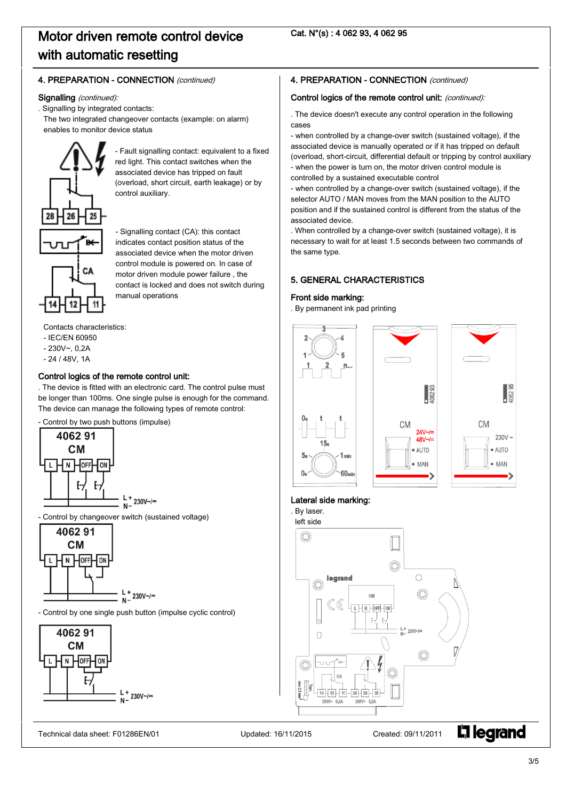# 4. PREPARATION - CONNECTION (continued)

#### Signalling (continued):

. Signalling by integrated contacts:

The two integrated changeover contacts (example: on alarm) enables to monitor device status

control auxiliary.

manual operations



- Signalling contact (CA): this contact indicates contact position status of the associated device when the motor driven control module is powered on. In case of motor driven module power failure , the contact is locked and does not switch during

- Fault signalling contact: equivalent to a fixed red light. This contact switches when the associated device has tripped on fault (overload, short circuit, earth leakage) or by

Contacts characteristics:

- IEC/EN 60950
- $-230V$ ~, 0,2A
- 24 / 48V, 1A

# Control logics of the remote control unit:

. The device is fitted with an electronic card. The control pulse must be longer than 100ms. One single pulse is enough for the command. The device can manage the following types of remote control:

- Control by two push buttons (impulse)





- Control by one single push button (impulse cyclic control)



# 4. PREPARATION - CONNECTION (continued)

### Control logics of the remote control unit: (continued):

. The device doesn't execute any control operation in the following cases

- when controlled by a change-over switch (sustained voltage), if the associated device is manually operated or if it has tripped on default (overload, short-circuit, differential default or tripping by control auxiliary - when the power is turn on, the motor driven control module is controlled by a sustained executable control

- when controlled by a change-over switch (sustained voltage), if the selector AUTO / MAN moves from the MAN position to the AUTO position and if the sustained control is different from the status of the associated device.

. When controlled by a change-over switch (sustained voltage), it is necessary to wait for at least 1.5 seconds between two commands of the same type.

# 5. GENERAL CHARACTERISTICS

### Front side marking:

. By permanent ink pad printing



#### Lateral side marking:

. By laser. left side 0  $\bigcirc$ legrand O N 6 CO<sub>8</sub>  $-\sqrt{N}$   $-\sqrt{QFF}$   $-\sqrt{QR}$  $\cap$ 7 Œ **L'1 legrand** Technical data sheet: F01286EN/01 Updated: 16/11/2015 Created: 09/11/2011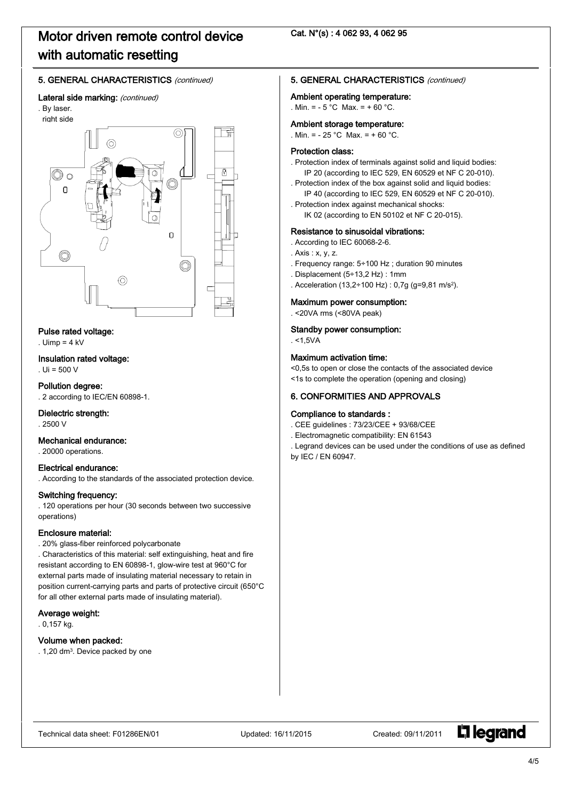# Cat. N°(s) : 4 062 93, 4 062 95

# 5. GENERAL CHARACTERISTICS (continued)

#### Lateral side marking: (continued)





#### Pulse rated voltage:

 $Llimp = 4 kV$ 

#### Insulation rated voltage:

. Ui = 500 V

#### Pollution degree:

. 2 according to IEC/EN 60898-1.

#### Dielectric strength:

. 2500 V

### Mechanical endurance:

. 20000 operations.

#### Electrical endurance:

. According to the standards of the associated protection device.

#### Switching frequency:

. 120 operations per hour (30 seconds between two successive operations)

#### Enclosure material:

. 20% glass-fiber reinforced polycarbonate

. Characteristics of this material: self extinguishing, heat and fire resistant according to EN 60898-1, glow-wire test at 960°C for external parts made of insulating material necessary to retain in position current-carrying parts and parts of protective circuit (650°C for all other external parts made of insulating material).

#### Average weight:

. 0,157 kg.

#### Volume when packed:

. 1,20 dm3. Device packed by one

#### 5. GENERAL CHARACTERISTICS (continued)

#### Ambient operating temperature:

. Min. =  $-5^{\circ}$ C Max. =  $+60^{\circ}$ C.

#### Ambient storage temperature:

. Min. =  $-25$  °C Max. =  $+60$  °C.

#### Protection class:

- . Protection index of terminals against solid and liquid bodies: IP 20 (according to IEC 529, EN 60529 et NF C 20-010).
- . Protection index of the box against solid and liquid bodies: IP 40 (according to IEC 529, EN 60529 et NF C 20-010).
- . Protection index against mechanical shocks: IK 02 (according to EN 50102 et NF C 20-015).

# Resistance to sinusoidal vibrations:

- . According to IEC 60068-2-6.
- . Axis : x, y, z.
- . Frequency range: 5÷100 Hz ; duration 90 minutes
- . Displacement (5÷13,2 Hz) : 1mm
- . Acceleration (13,2÷100 Hz) : 0,7g (g=9,81 m/s2).

# Maximum power consumption:

. <20VA rms (<80VA peak)

#### Standby power consumption:

 $. < 1,5VA$ 

#### Maximum activation time:

<0,5s to open or close the contacts of the associated device

<1s to complete the operation (opening and closing)

### 6. CONFORMITIES AND APPROVALS

### Compliance to standards :

- . CEE guidelines : 73/23/CEE + 93/68/CEE
- . Electromagnetic compatibility: EN 61543

. Legrand devices can be used under the conditions of use as defined by IEC / EN 60947.

**L'i legrand**